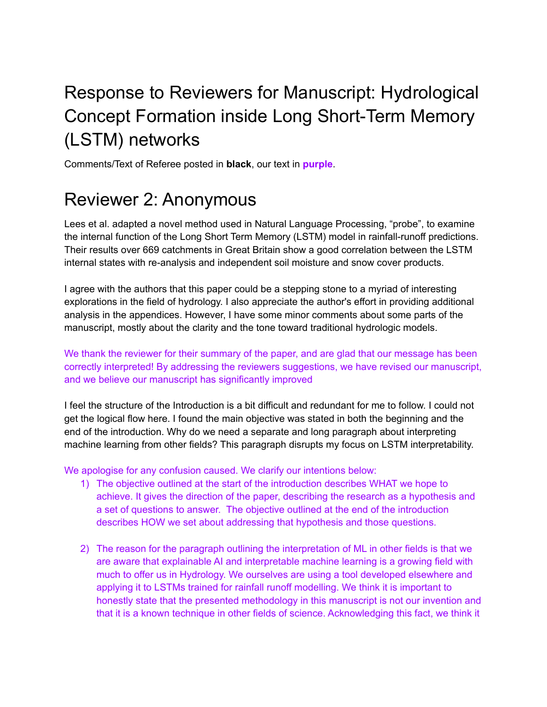# Response to Reviewers for Manuscript: Hydrological Concept Formation inside Long Short-Term Memory (LSTM) networks

Comments/Text of Referee posted in **black**, our text in **purple**.

## Reviewer 2: Anonymous

Lees et al. adapted a novel method used in Natural Language Processing, "probe", to examine the internal function of the Long Short Term Memory (LSTM) model in rainfall-runoff predictions. Their results over 669 catchments in Great Britain show a good correlation between the LSTM internal states with re-analysis and independent soil moisture and snow cover products.

I agree with the authors that this paper could be a stepping stone to a myriad of interesting explorations in the field of hydrology. I also appreciate the author's effort in providing additional analysis in the appendices. However, I have some minor comments about some parts of the manuscript, mostly about the clarity and the tone toward traditional hydrologic models.

We thank the reviewer for their summary of the paper, and are glad that our message has been correctly interpreted! By addressing the reviewers suggestions, we have revised our manuscript, and we believe our manuscript has significantly improved

I feel the structure of the Introduction is a bit difficult and redundant for me to follow. I could not get the logical flow here. I found the main objective was stated in both the beginning and the end of the introduction. Why do we need a separate and long paragraph about interpreting machine learning from other fields? This paragraph disrupts my focus on LSTM interpretability.

We apologise for any confusion caused. We clarify our intentions below:

- 1) The objective outlined at the start of the introduction describes WHAT we hope to achieve. It gives the direction of the paper, describing the research as a hypothesis and a set of questions to answer. The objective outlined at the end of the introduction describes HOW we set about addressing that hypothesis and those questions.
- 2) The reason for the paragraph outlining the interpretation of ML in other fields is that we are aware that explainable AI and interpretable machine learning is a growing field with much to offer us in Hydrology. We ourselves are using a tool developed elsewhere and applying it to LSTMs trained for rainfall runoff modelling. We think it is important to honestly state that the presented methodology in this manuscript is not our invention and that it is a known technique in other fields of science. Acknowledging this fact, we think it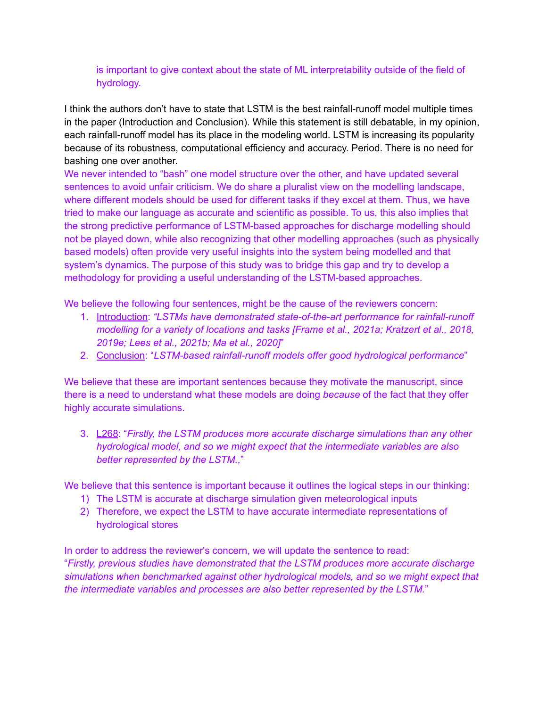### is important to give context about the state of ML interpretability outside of the field of hydrology.

I think the authors don't have to state that LSTM is the best rainfall-runoff model multiple times in the paper (Introduction and Conclusion). While this statement is still debatable, in my opinion, each rainfall-runoff model has its place in the modeling world. LSTM is increasing its popularity because of its robustness, computational efficiency and accuracy. Period. There is no need for bashing one over another.

We never intended to "bash" one model structure over the other, and have updated several sentences to avoid unfair criticism. We do share a pluralist view on the modelling landscape, where different models should be used for different tasks if they excel at them. Thus, we have tried to make our language as accurate and scientific as possible. To us, this also implies that the strong predictive performance of LSTM-based approaches for discharge modelling should not be played down, while also recognizing that other modelling approaches (such as physically based models) often provide very useful insights into the system being modelled and that system's dynamics. The purpose of this study was to bridge this gap and try to develop a methodology for providing a useful understanding of the LSTM-based approaches.

We believe the following four sentences, might be the cause of the reviewers concern:

- 1. Introduction: *"LSTMs have demonstrated state-of-the-art performance for rainfall-runoff modelling for a variety of locations and tasks [Frame et al., 2021a; Kratzert et al., 2018, 2019e; Lees et al., 2021b; Ma et al., 2020]*"
- 2. Conclusion: "*LSTM-based rainfall-runoff models offer good hydrological performance*"

We believe that these are important sentences because they motivate the manuscript, since there is a need to understand what these models are doing *because* of the fact that they offer highly accurate simulations.

3. L268: "*Firstly, the LSTM produces more accurate discharge simulations than any other hydrological model, and so we might expect that the intermediate variables are also better represented by the LSTM.,*"

We believe that this sentence is important because it outlines the logical steps in our thinking:

- 1) The LSTM is accurate at discharge simulation given meteorological inputs
- 2) Therefore, we expect the LSTM to have accurate intermediate representations of hydrological stores

In order to address the reviewer's concern, we will update the sentence to read: "*Firstly, previous studies have demonstrated that the LSTM produces more accurate discharge simulations when benchmarked against other hydrological models, and so we might expect that the intermediate variables and processes are also better represented by the LSTM.*"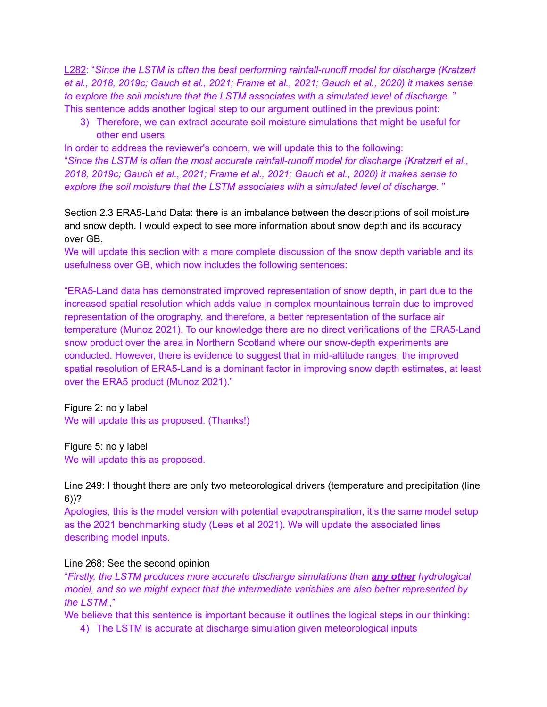L282: "*Since the LSTM is often the best performing rainfall-runoff model for discharge (Kratzert* et al., 2018, 2019c; Gauch et al., 2021; Frame et al., 2021; Gauch et al., 2020) it makes sense *to explore the soil moisture that the LSTM associates with a simulated level of discharge.* " This sentence adds another logical step to our argument outlined in the previous point:

3) Therefore, we can extract accurate soil moisture simulations that might be useful for other end users

In order to address the reviewer's concern, we will update this to the following: "*Since the LSTM is often the most accurate rainfall-runoff model for discharge (Kratzert et al., 2018, 2019c; Gauch et al., 2021; Frame et al., 2021; Gauch et al., 2020) it makes sense to explore the soil moisture that the LSTM associates with a simulated level of discharge.* "

Section 2.3 ERA5-Land Data: there is an imbalance between the descriptions of soil moisture and snow depth. I would expect to see more information about snow depth and its accuracy over GB.

We will update this section with a more complete discussion of the snow depth variable and its usefulness over GB, which now includes the following sentences:

"ERA5-Land data has demonstrated improved representation of snow depth, in part due to the increased spatial resolution which adds value in complex mountainous terrain due to improved representation of the orography, and therefore, a better representation of the surface air temperature (Munoz 2021). To our knowledge there are no direct verifications of the ERA5-Land snow product over the area in Northern Scotland where our snow-depth experiments are conducted. However, there is evidence to suggest that in mid-altitude ranges, the improved spatial resolution of ERA5-Land is a dominant factor in improving snow depth estimates, at least over the ERA5 product (Munoz 2021)."

Figure 2: no y label We will update this as proposed. (Thanks!)

Figure 5: no y label We will update this as proposed.

Line 249: I thought there are only two meteorological drivers (temperature and precipitation (line 6))?

Apologies, this is the model version with potential evapotranspiration, it's the same model setup as the 2021 benchmarking study (Lees et al 2021). We will update the associated lines describing model inputs.

#### Line 268: See the second opinion

"*Firstly, the LSTM produces more accurate discharge simulations than any other hydrological model, and so we might expect that the intermediate variables are also better represented by the LSTM.,*"

We believe that this sentence is important because it outlines the logical steps in our thinking:

4) The LSTM is accurate at discharge simulation given meteorological inputs